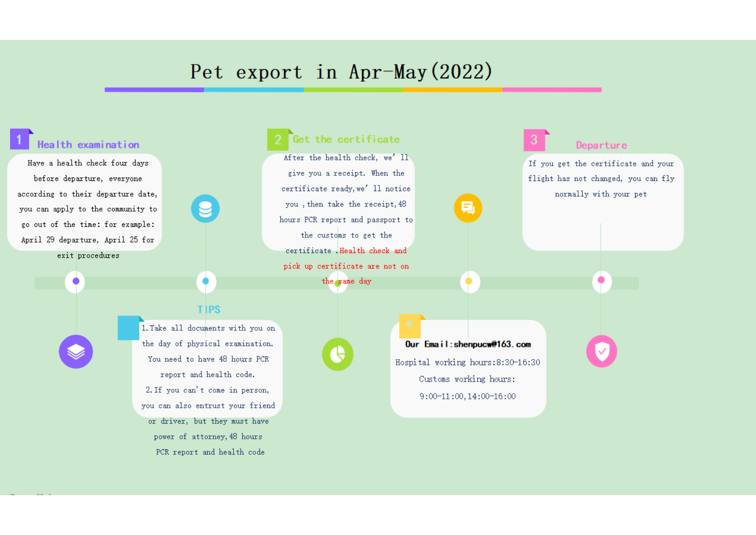## Pet export in Apr-May (2022)

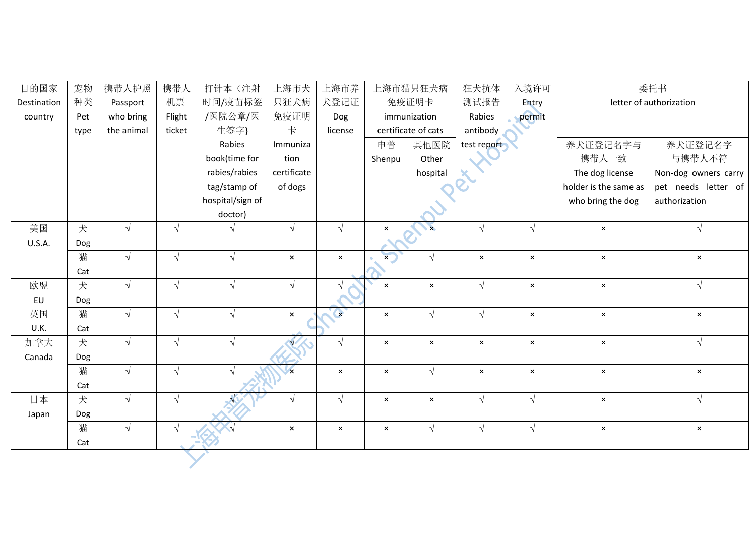| 目的国家          | 宠物   | 携带人护照      | 携带人        | 打针本 (注射          | 上海市犬                      | 上海市养           |                           | 上海市猫只狂犬病              | 狂犬抗体           | 入境许可                      | 委托书                   |                         |
|---------------|------|------------|------------|------------------|---------------------------|----------------|---------------------------|-----------------------|----------------|---------------------------|-----------------------|-------------------------|
| Destination   | 种类   | Passport   | 机票         | 时间/疫苗标签          | 只狂犬病                      | 犬登记证           |                           | 免疫证明卡                 | 测试报告           | Entry                     |                       | letter of authorization |
| country       | Pet  | who bring  | Flight     | /医院公章/医          | 免疫证明                      | Dog            |                           | immunization          | Rabies         | permit                    |                       |                         |
|               | type | the animal | ticket     | 生签字}             | $\ddagger$                | license        | certificate of cats       |                       | antibody       |                           |                       |                         |
|               |      |            |            | Rabies           | Immuniza                  |                | 申普                        | 其他医院                  | test report    |                           | 养犬证登记名字与              | 养犬证登记名字                 |
|               |      |            |            | book(time for    | tion                      |                | Shenpu                    | Other                 |                |                           | 携带人一致                 | 与携带人不符                  |
|               |      |            |            | rabies/rabies    | certificate               |                |                           | hospital              |                |                           | The dog license       | Non-dog owners carry    |
|               |      |            |            | tag/stamp of     | of dogs                   |                |                           |                       |                |                           | holder is the same as | pet needs letter of     |
|               |      |            |            | hospital/sign of |                           |                |                           |                       |                |                           | who bring the dog     | authorization           |
|               |      |            |            | doctor)          |                           |                |                           |                       |                |                           |                       |                         |
| 美国            | 犬    | $\sqrt{ }$ | $\sqrt{ }$ | $\sqrt{}$        | $\sqrt{}$                 | $\sqrt{ }$     | $\pmb{\times}$            | $\mathbf{x}$          | $\sqrt{ }$     | $\sqrt{ }$                | $\pmb{\times}$        | $\sqrt{ }$              |
| <b>U.S.A.</b> | Dog  |            |            |                  |                           |                |                           |                       |                |                           |                       |                         |
|               | 猫    | $\sqrt{ }$ | $\sqrt{ }$ | $\sqrt{ }$       | $\pmb{\times}$            | $\pmb{\times}$ | $\overline{\mathbf{x}}$   | $\sqrt{ }$            | $\pmb{\times}$ | $\pmb{\times}$            | $\pmb{\times}$        | $\pmb{\times}$          |
|               | Cat  |            |            |                  |                           |                |                           |                       |                |                           |                       |                         |
| 欧盟            | 犬    | $\sqrt{ }$ | $\sqrt{ }$ | $\sqrt{ }$       | $\sqrt{}$                 | $\sqrt{ }$     | $\pmb{\times}$            | $\mathsf{x}$          | $\sqrt{ }$     | $\boldsymbol{\mathsf{x}}$ | $\mathsf{x}$          | $\sqrt{ }$              |
| EU            | Dog  |            |            |                  |                           |                |                           |                       |                |                           |                       |                         |
| 英国            | 猫    | $\sqrt{ }$ | $\sqrt{ }$ | $\sqrt{ }$       | $\boldsymbol{\mathsf{x}}$ | $\bullet$      | $\boldsymbol{\times}$     | $\sqrt{ }$            | $\sqrt{ }$     | $\boldsymbol{\mathsf{x}}$ | $\pmb{\times}$        | $\pmb{\times}$          |
| U.K.          | Cat  |            |            |                  |                           |                |                           |                       |                |                           |                       |                         |
| 加拿大           | 犬    | $\sqrt{ }$ | $\sqrt{ }$ | $\sqrt{ }$       |                           | $\sqrt{ }$     | $\boldsymbol{\mathsf{x}}$ | $\boldsymbol{\times}$ | $\pmb{\times}$ | $\boldsymbol{\mathsf{x}}$ | $\pmb{\times}$        | $\sqrt{ }$              |
| Canada        | Dog  |            |            |                  |                           |                |                           |                       |                |                           |                       |                         |
|               | 猫    | $\sqrt{ }$ | $\sqrt{ }$ | $\sqrt{ }$       | $\mathbf{x}$              | $\mathsf{x}$   | $\pmb{\times}$            | $\sqrt{ }$            | $\pmb{\times}$ | $\boldsymbol{\mathsf{x}}$ | $\pmb{\times}$        | $\mathbf{x}$            |
|               | Cat  |            |            |                  |                           |                |                           |                       |                |                           |                       |                         |
| 日本            | 犬    | $\sqrt{ }$ | $\sqrt{ }$ |                  | $\sqrt{}$                 | $\sqrt{ }$     | $\pmb{\times}$            | $\boldsymbol{\times}$ | $\sqrt{ }$     | $\sqrt{ }$                | $\pmb{\times}$        | $\sqrt{ }$              |
| Japan         | Dog  |            |            |                  |                           |                |                           |                       |                |                           |                       |                         |
|               | 猫    | $\sqrt{ }$ | $\sqrt{ }$ |                  | $\pmb{\times}$            | $\pmb{\times}$ | $\pmb{\times}$            | $\sqrt{ }$            | $\sqrt{ }$     | $\sqrt{ }$                | $\pmb{\times}$        | $\pmb{\times}$          |
|               | Cat  |            |            |                  |                           |                |                           |                       |                |                           |                       |                         |
|               |      |            |            |                  |                           |                |                           |                       |                |                           |                       |                         |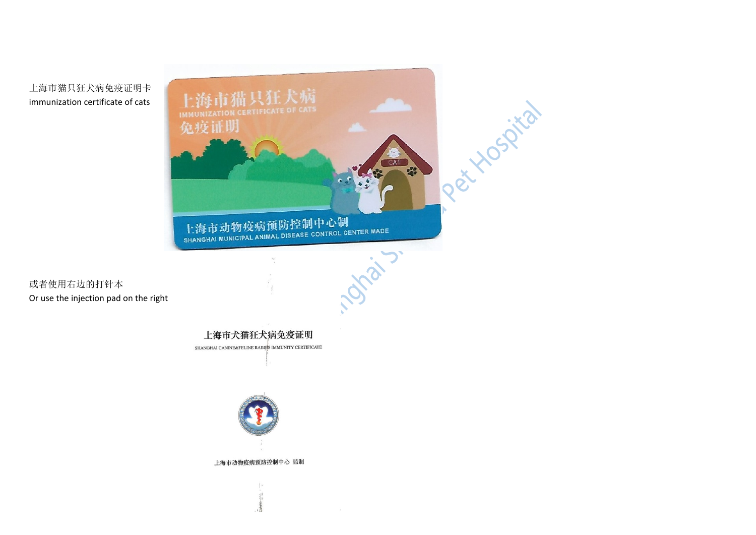



或者使用右边的打针本 Or use the injection pad on the right

> 上海市犬猫狂犬病免疫证明 SHANGHAI CANINE&FELINE RABIRS IMMUNITY CERTIFICATE



上海市动物疫病预防控制中心 监制